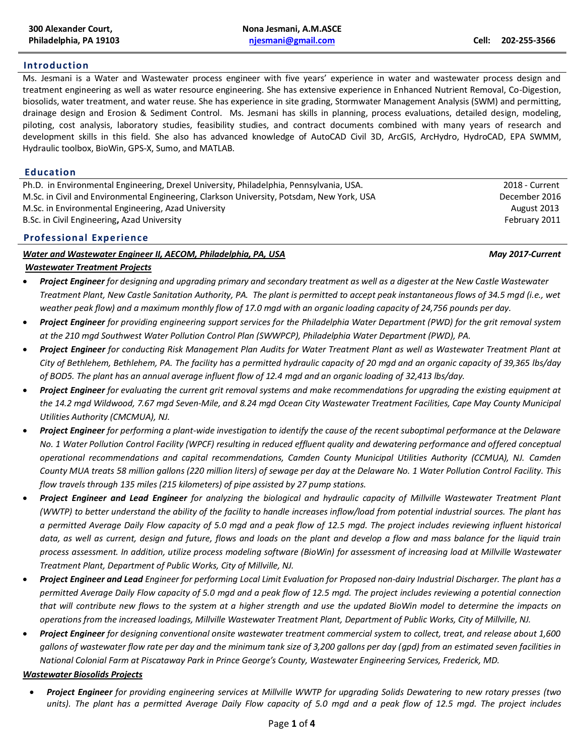## **Introduction**

Ms. Jesmani is a Water and Wastewater process engineer with five years' experience in water and wastewater process design and treatment engineering as well as water resource engineering. She has extensive experience in Enhanced Nutrient Removal, Co-Digestion, biosolids, water treatment, and water reuse. She has experience in site grading, Stormwater Management Analysis (SWM) and permitting, drainage design and Erosion & Sediment Control. Ms. Jesmani has skills in planning, process evaluations, detailed design, modeling, piloting, cost analysis, laboratory studies, feasibility studies, and contract documents combined with many years of research and development skills in this field. She also has advanced knowledge of AutoCAD Civil 3D, ArcGIS, ArcHydro, HydroCAD, EPA SWMM, Hydraulic toolbox, BioWin, GPS-X, Sumo, and MATLAB.

### **Education**

Ph.D. in Environmental Engineering, Drexel University, Philadelphia, Pennsylvania, USA. 2018 - Current M.Sc. in Civil and Environmental Engineering, Clarkson University, Potsdam, New York, USA December 2016 M.Sc. in Environmental Engineering, Azad University August 2013 **August 2013** B.Sc. in Civil Engineering, Azad University **February 2011 February 2011** 

## **Professional Experience**

## *Water and Wastewater Engineer II, AECOM, Philadelphia, PA, USA May 2017-Current*

## *Wastewater Treatment Projects*

- *Project Engineer for designing and upgrading primary and secondary treatment as well as a digester at the New Castle Wastewater Treatment Plant, New Castle Sanitation Authority, PA. The plant is permitted to accept peak instantaneous flows of 34.5 mgd (i.e., wet weather peak flow) and a maximum monthly flow of 17.0 mgd with an organic loading capacity of 24,756 pounds per day.*
- *Project Engineer for providing engineering support services for the Philadelphia Water Department (PWD) for the grit removal system at the 210 mgd Southwest Water Pollution Control Plan (SWWPCP), Philadelphia Water Department (PWD), PA.*
- *Project Engineer for conducting Risk Management Plan Audits for Water Treatment Plant as well as Wastewater Treatment Plant at City of Bethlehem, Bethlehem, PA. The facility has a permitted hydraulic capacity of 20 mgd and an organic capacity of 39,365 lbs/day of BOD5. The plant has an annual average influent flow of 12.4 mgd and an organic loading of 32,413 lbs/day.*
- *Project Engineer for evaluating the current grit removal systems and make recommendations for upgrading the existing equipment at the 14.2 mgd Wildwood, 7.67 mgd Seven-Mile, and 8.24 mgd Ocean City Wastewater Treatment Facilities, Cape May County Municipal Utilities Authority (CMCMUA), NJ.*
- *Project Engineer for performing a plant-wide investigation to identify the cause of the recent suboptimal performance at the Delaware No. 1 Water Pollution Control Facility (WPCF) resulting in reduced effluent quality and dewatering performance and offered conceptual operational recommendations and capital recommendations, Camden County Municipal Utilities Authority (CCMUA), NJ. Camden County MUA treats 58 million gallons (220 million liters) of sewage per day at the Delaware No. 1 Water Pollution Control Facility. This flow travels through 135 miles (215 kilometers) of pipe assisted by 27 pump stations.*
- *Project Engineer and Lead Engineer for analyzing the biological and hydraulic capacity of Millville Wastewater Treatment Plant (WWTP) to better understand the ability of the facility to handle increases inflow/load from potential industrial sources. The plant has a permitted Average Daily Flow capacity of 5.0 mgd and a peak flow of 12.5 mgd. The project includes reviewing influent historical data, as well as current, design and future, flows and loads on the plant and develop a flow and mass balance for the liquid train process assessment. In addition, utilize process modeling software (BioWin) for assessment of increasing load at Millville Wastewater Treatment Plant, Department of Public Works, City of Millville, NJ.*
- *Project Engineer and Lead Engineer for performing Local Limit Evaluation for Proposed non-dairy Industrial Discharger. The plant has a permitted Average Daily Flow capacity of 5.0 mgd and a peak flow of 12.5 mgd. The project includes reviewing a potential connection that will contribute new flows to the system at a higher strength and use the updated BioWin model to determine the impacts on operations from the increased loadings, Millville Wastewater Treatment Plant, Department of Public Works, City of Millville, NJ.*
- *Project Engineer for designing conventional onsite wastewater treatment commercial system to collect, treat, and release about 1,600 gallons of wastewater flow rate per day and the minimum tank size of 3,200 gallons per day (gpd) from an estimated seven facilities in National Colonial Farm at Piscataway Park in Prince George's County, Wastewater Engineering Services, Frederick, MD.*

### *Wastewater Biosolids Projects*

• *Project Engineer for providing engineering services at Millville WWTP for upgrading Solids Dewatering to new rotary presses (two units). The plant has a permitted Average Daily Flow capacity of 5.0 mgd and a peak flow of 12.5 mgd. The project includes*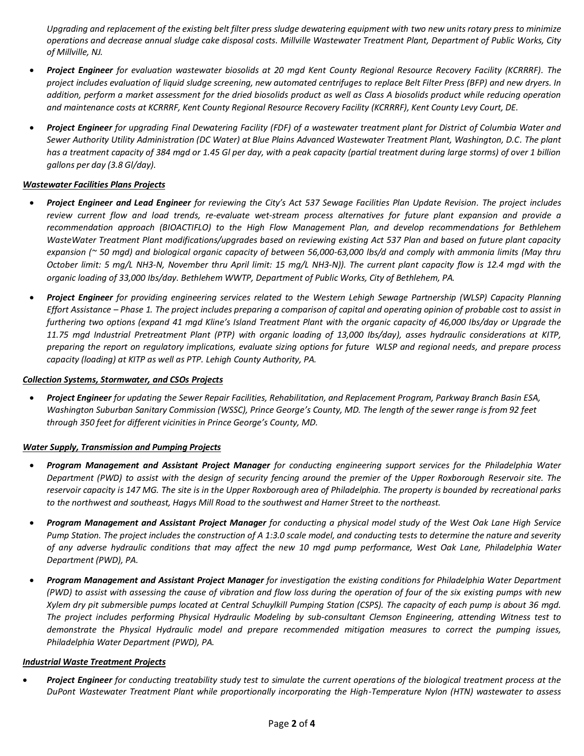*Upgrading and replacement of the existing belt filter press sludge dewatering equipment with two new units rotary press to minimize operations and decrease annual sludge cake disposal costs. Millville Wastewater Treatment Plant, Department of Public Works, City of Millville, NJ.*

- *Project Engineer for evaluation wastewater biosolids at 20 mgd Kent County Regional Resource Recovery Facility (KCRRRF). The project includes evaluation of liquid sludge screening, new automated centrifuges to replace Belt Filter Press (BFP) and new dryers. In addition, perform a market assessment for the dried biosolids product as well as Class A biosolids product while reducing operation and maintenance costs at KCRRRF, Kent County Regional Resource Recovery Facility (KCRRRF), Kent County Levy Court, DE.*
- *Project Engineer for upgrading Final Dewatering Facility (FDF) of a wastewater treatment plant for District of Columbia Water and Sewer Authority Utility Administration (DC Water) at Blue Plains Advanced Wastewater Treatment Plant, Washington, D.C. The plant has a treatment capacity of 384 mgd or 1.45 Gl per day, with a peak capacity (partial treatment during large storms) of over 1 billion gallons per day (3.8 Gl/day).*

## *Wastewater Facilities Plans Projects*

- *Project Engineer and Lead Engineer for reviewing the City's Act 537 Sewage Facilities Plan Update Revision. The project includes review current flow and load trends, re-evaluate wet-stream process alternatives for future plant expansion and provide a recommendation approach (BIOACTIFLO) to the High Flow Management Plan, and develop recommendations for Bethlehem WasteWater Treatment Plant modifications/upgrades based on reviewing existing Act 537 Plan and based on future plant capacity expansion (~ 50 mgd) and biological organic capacity of between 56,000-63,000 lbs/d and comply with ammonia limits (May thru October limit: 5 mg/L NH3-N, November thru April limit: 15 mg/L NH3-N)). The current plant capacity flow is 12.4 mgd with the organic loading of 33,000 Ibs/day. Bethlehem WWTP, Department of Public Works, City of Bethlehem, PA.*
- *Project Engineer for providing engineering services related to the Western Lehigh Sewage Partnership (WLSP) Capacity Planning Effort Assistance – Phase 1. The project includes preparing a comparison of capital and operating opinion of probable cost to assist in furthering two options (expand 41 mgd Kline's Island Treatment Plant with the organic capacity of 46,000 Ibs/day or Upgrade the 11.75 mgd Industrial Pretreatment Plant (PTP) with organic loading of 13,000 Ibs/day), asses hydraulic considerations at KITP, preparing the report on regulatory implications, evaluate sizing options for future WLSP and regional needs, and prepare process capacity (loading) at KITP as well as PTP. Lehigh County Authority, PA.*

### *Collection Systems, Stormwater, and CSOs Projects*

• *Project Engineer for updating the Sewer Repair Facilities, Rehabilitation, and Replacement Program, Parkway Branch Basin ESA, Washington Suburban Sanitary Commission (WSSC), Prince George's County, MD. The length of the sewer range is from 92 feet through 350 feet for different vicinities in Prince George's County, MD.*

### *Water Supply, Transmission and Pumping Projects*

- *Program Management and Assistant Project Manager for conducting engineering support services for the Philadelphia Water Department (PWD) to assist with the design of security fencing around the premier of the Upper Roxborough Reservoir site. The reservoir capacity is 147 MG. The site is in the Upper Roxborough area of Philadelphia. The property is bounded by recreational parks to the northwest and southeast, Hagys Mill Road to the southwest and Harner Street to the northeast.*
- *Program Management and Assistant Project Manager for conducting a physical model study of the West Oak Lane High Service Pump Station. The project includes the construction of A 1:3.0 scale model, and conducting tests to determine the nature and severity of any adverse hydraulic conditions that may affect the new 10 mgd pump performance, West Oak Lane, Philadelphia Water Department (PWD), PA.*
- *Program Management and Assistant Project Manager for investigation the existing conditions for Philadelphia Water Department (PWD) to assist with assessing the cause of vibration and flow loss during the operation of four of the six existing pumps with new Xylem dry pit submersible pumps located at Central Schuylkill Pumping Station (CSPS). The capacity of each pump is about 36 mgd. The project includes performing Physical Hydraulic Modeling by sub-consultant Clemson Engineering, attending Witness test to demonstrate the Physical Hydraulic model and prepare recommended mitigation measures to correct the pumping issues, Philadelphia Water Department (PWD), PA.*

### *Industrial Waste Treatment Projects*

• *Project Engineer for conducting treatability study test to simulate the current operations of the biological treatment process at the DuPont Wastewater Treatment Plant while proportionally incorporating the High-Temperature Nylon (HTN) wastewater to assess*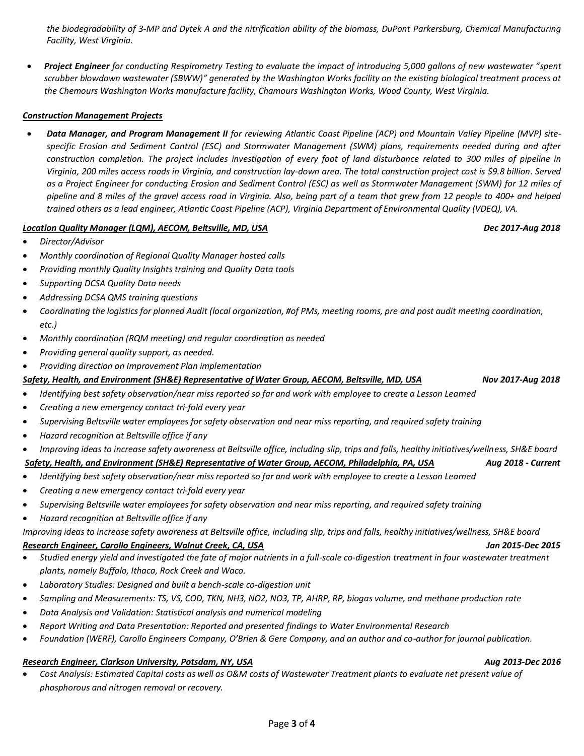*the biodegradability of 3-MP and Dytek A and the nitrification ability of the biomass, DuPont Parkersburg, Chemical Manufacturing Facility, West Virginia.* 

• *Project Engineer for conducting Respirometry Testing to evaluate the impact of introducing 5,000 gallons of new wastewater "spent scrubber blowdown wastewater (SBWW)" generated by the Washington Works facility on the existing biological treatment process at the Chemours Washington Works manufacture facility, Chamours Washington Works, Wood County, West Virginia.*

## *Construction Management Projects*

• *Data Manager, and Program Management II for reviewing Atlantic Coast Pipeline (ACP) and Mountain Valley Pipeline (MVP) sitespecific Erosion and Sediment Control (ESC) and Stormwater Management (SWM) plans, requirements needed during and after construction completion. The project includes investigation of every foot of land disturbance related to 300 miles of pipeline in Virginia, 200 miles access roads in Virginia, and construction lay-down area. The total construction project cost is \$9.8 billion. Served* as a Project Engineer for conducting Erosion and Sediment Control (ESC) as well as Stormwater Management (SWM) for 12 miles of *pipeline and 8 miles of the gravel access road in Virginia. Also, being part of a team that grew from 12 people to 400+ and helped trained others as a lead engineer, Atlantic Coast Pipeline (ACP), Virginia Department of Environmental Quality (VDEQ), VA.* 

## *Location Quality Manager (LQM), AECOM, Beltsville, MD, USA Dec 2017-Aug 2018*

- *Director/Advisor*
- *Monthly coordination of Regional Quality Manager hosted calls*
- *Providing monthly Quality Insights training and Quality Data tools*
- *Supporting DCSA Quality Data needs*
- *Addressing DCSA QMS training questions*
- *Coordinating the logistics for planned Audit (local organization, #of PMs, meeting rooms, pre and post audit meeting coordination, etc.)*
- *Monthly coordination (RQM meeting) and regular coordination as needed*
- *Providing general quality support, as needed.*
- *Providing direction on Improvement Plan implementation*

*Safety, Health, and Environment (SH&E) Representative of Water Group, AECOM, Beltsville, MD, USA Nov 2017-Aug 2018*

- *Identifying best safety observation/near miss reported so far and work with employee to create a Lesson Learned*
- *Creating a new emergency contact tri-fold every year*
- *Supervising Beltsville water employees for safety observation and near miss reporting, and required safety training*
- *Hazard recognition at Beltsville office if any*
- *Improving ideas to increase safety awareness at Beltsville office, including slip, trips and falls, healthy initiatives/wellness, SH&E board*

# *Safety, Health, and Environment (SH&E) Representative of Water Group, AECOM, Philadelphia, PA, USA Aug 2018 - Current*

- *Identifying best safety observation/near miss reported so far and work with employee to create a Lesson Learned*
- *Creating a new emergency contact tri-fold every year*
- *Supervising Beltsville water employees for safety observation and near miss reporting, and required safety training*
- *Hazard recognition at Beltsville office if any*

*Improving ideas to increase safety awareness at Beltsville office, including slip, trips and falls, healthy initiatives/wellness, SH&E board* 

## *Research Engineer, Carollo Engineers, Walnut Creek, CA, USA Jan 2015-Dec 2015*

- *Studied energy yield and investigated the fate of major nutrients in a full-scale co-digestion treatment in four wastewater treatment plants, namely Buffalo, Ithaca, Rock Creek and Waco.*
- *Laboratory Studies: Designed and built a bench-scale co-digestion unit*
- *Sampling and Measurements: TS, VS, COD, TKN, NH3, NO2, NO3, TP, AHRP, RP, biogas volume, and methane production rate*
- *Data Analysis and Validation: Statistical analysis and numerical modeling*
- *Report Writing and Data Presentation: Reported and presented findings to Water Environmental Research*
- *Foundation (WERF), Carollo Engineers Company, O'Brien & Gere Company, and an author and co-author for journal publication.*

## **Research Engineer, Clarkson University, Potsdam, NY, USA Aug 2013-Dec** *2016* **Aug 2013-Dec 2016**

• *Cost Analysis: Estimated Capital costs as well as O&M costs of Wastewater Treatment plants to evaluate net present value of phosphorous and nitrogen removal or recovery.*